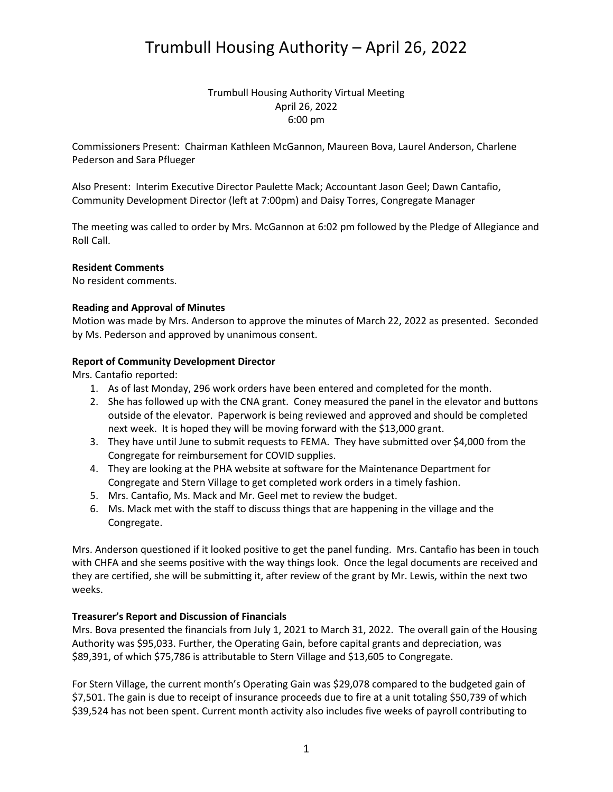## Trumbull Housing Authority Virtual Meeting April 26, 2022 6:00 pm

Commissioners Present: Chairman Kathleen McGannon, Maureen Bova, Laurel Anderson, Charlene Pederson and Sara Pflueger

Also Present: Interim Executive Director Paulette Mack; Accountant Jason Geel; Dawn Cantafio, Community Development Director (left at 7:00pm) and Daisy Torres, Congregate Manager

The meeting was called to order by Mrs. McGannon at 6:02 pm followed by the Pledge of Allegiance and Roll Call.

### **Resident Comments**

No resident comments.

### **Reading and Approval of Minutes**

Motion was made by Mrs. Anderson to approve the minutes of March 22, 2022 as presented. Seconded by Ms. Pederson and approved by unanimous consent.

### **Report of Community Development Director**

Mrs. Cantafio reported:

- 1. As of last Monday, 296 work orders have been entered and completed for the month.
- 2. She has followed up with the CNA grant. Coney measured the panel in the elevator and buttons outside of the elevator. Paperwork is being reviewed and approved and should be completed next week. It is hoped they will be moving forward with the \$13,000 grant.
- 3. They have until June to submit requests to FEMA. They have submitted over \$4,000 from the Congregate for reimbursement for COVID supplies.
- 4. They are looking at the PHA website at software for the Maintenance Department for Congregate and Stern Village to get completed work orders in a timely fashion.
- 5. Mrs. Cantafio, Ms. Mack and Mr. Geel met to review the budget.
- 6. Ms. Mack met with the staff to discuss things that are happening in the village and the Congregate.

Mrs. Anderson questioned if it looked positive to get the panel funding. Mrs. Cantafio has been in touch with CHFA and she seems positive with the way things look. Once the legal documents are received and they are certified, she will be submitting it, after review of the grant by Mr. Lewis, within the next two weeks.

## **Treasurer's Report and Discussion of Financials**

Mrs. Bova presented the financials from July 1, 2021 to March 31, 2022. The overall gain of the Housing Authority was \$95,033. Further, the Operating Gain, before capital grants and depreciation, was \$89,391, of which \$75,786 is attributable to Stern Village and \$13,605 to Congregate.

For Stern Village, the current month's Operating Gain was \$29,078 compared to the budgeted gain of \$7,501. The gain is due to receipt of insurance proceeds due to fire at a unit totaling \$50,739 of which \$39,524 has not been spent. Current month activity also includes five weeks of payroll contributing to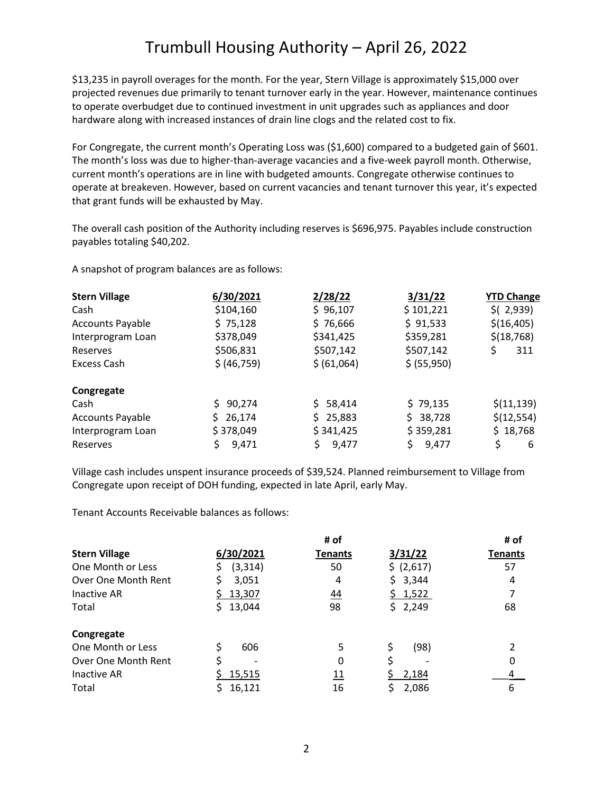\$13,235 in payroll overages for the month. For the year, Stern Village is approximately \$15,000 over projected revenues due primarily to tenant turnover early in the year. However, maintenance continues to operate overbudget due to continued investment in unit upgrades such as appliances and door hardware along with increased instances of drain line clogs and the related cost to fix.

For Congregate, the current month's Operating Loss was (\$1,600) compared to a budgeted gain of \$601. The month's loss was due to higher-than-average vacancies and a five-week payroll month. Otherwise, current month's operations are in line with budgeted amounts. Congregate otherwise continues to operate at breakeven. However, based on current vacancies and tenant turnover this year, it's expected that grant funds will be exhausted by May.

The overall cash position of the Authority including reserves is \$696,975. Payables include construction payables totaling \$40,202.

A snapshot of program balances are as follows:

| <b>Stern Village</b>    | 6/30/2021   | 2/28/22      | 3/31/22     | <b>YTD Change</b> |
|-------------------------|-------------|--------------|-------------|-------------------|
| Cash                    | \$104,160   | \$96,107     | \$101,221   | $$$ ( 2,939)      |
| <b>Accounts Payable</b> | \$75,128    | \$76,666     | \$91,533    | \$(16, 405)       |
| Interprogram Loan       | \$378,049   | \$341,425    | \$359,281   | \$(18, 768)       |
| Reserves                | \$506,831   | \$507,142    | \$507,142   | 311               |
| <b>Excess Cash</b>      | \$ (46,759) | \$ (61,064)  | \$ (55,950) |                   |
| Congregate              |             |              |             |                   |
| Cash                    | 90,274      | \$58,414     | \$79,135    | \$(11, 139)       |
| <b>Accounts Payable</b> | 26,174      | 25,883<br>Ś. | \$38,728    | \$(12, 554)       |
| Interprogram Loan       | \$378,049   | \$341,425    | \$359,281   | \$18,768          |
| Reserves                | 9.471       | 9.477        | \$<br>9,477 | Ś<br>6            |

Village cash includes unspent insurance proceeds of \$39,524. Planned reimbursement to Village from Congregate upon receipt of DOH funding, expected in late April, early May.

Tenant Accounts Receivable balances as follows:

|                      | # of          |                |            | # of           |
|----------------------|---------------|----------------|------------|----------------|
| <b>Stern Village</b> | 6/30/2021     | <b>Tenants</b> | 3/31/22    | <b>Tenants</b> |
| One Month or Less    | (3, 314)<br>Ş | 50             | \$ (2,617) | 57             |
| Over One Month Rent  | \$<br>3,051   | 4              | \$3,344    | 4              |
| Inactive AR          | 13,307        | <u>44</u>      | \$1,522    |                |
| Total                | 13,044        | 98             | \$2,249    | 68             |
| Congregate           |               |                |            |                |
| One Month or Less    | Ś<br>606      | 5              | \$<br>(98) |                |
| Over One Month Rent  | \$            | 0              | \$         | 0              |
| Inactive AR          | 15,515        | <u> 11</u>     | 2,184      | 4              |
| Total                | 16,121        | 16             | 2,086      | 6              |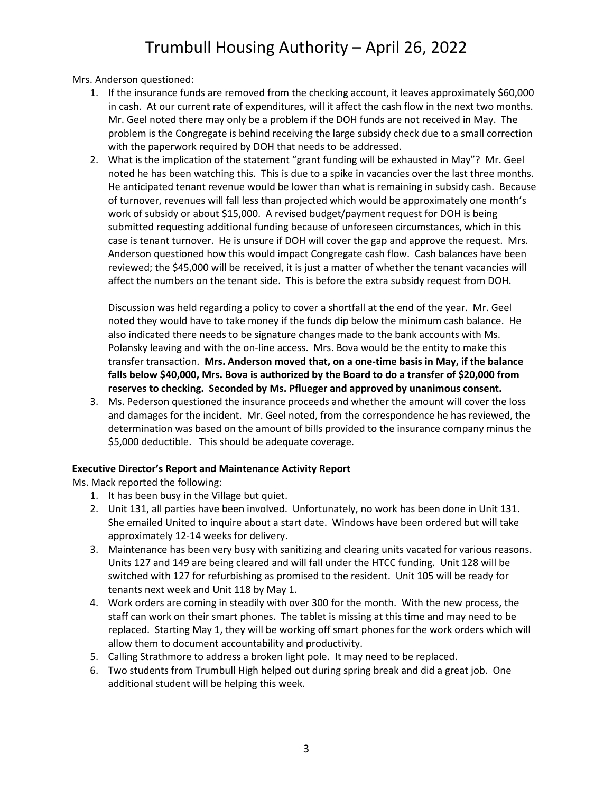Mrs. Anderson questioned:

- 1. If the insurance funds are removed from the checking account, it leaves approximately \$60,000 in cash. At our current rate of expenditures, will it affect the cash flow in the next two months. Mr. Geel noted there may only be a problem if the DOH funds are not received in May. The problem is the Congregate is behind receiving the large subsidy check due to a small correction with the paperwork required by DOH that needs to be addressed.
- 2. What is the implication of the statement "grant funding will be exhausted in May"? Mr. Geel noted he has been watching this. This is due to a spike in vacancies over the last three months. He anticipated tenant revenue would be lower than what is remaining in subsidy cash. Because of turnover, revenues will fall less than projected which would be approximately one month's work of subsidy or about \$15,000. A revised budget/payment request for DOH is being submitted requesting additional funding because of unforeseen circumstances, which in this case is tenant turnover. He is unsure if DOH will cover the gap and approve the request. Mrs. Anderson questioned how this would impact Congregate cash flow. Cash balances have been reviewed; the \$45,000 will be received, it is just a matter of whether the tenant vacancies will affect the numbers on the tenant side. This is before the extra subsidy request from DOH.

Discussion was held regarding a policy to cover a shortfall at the end of the year. Mr. Geel noted they would have to take money if the funds dip below the minimum cash balance. He also indicated there needs to be signature changes made to the bank accounts with Ms. Polansky leaving and with the on-line access. Mrs. Bova would be the entity to make this transfer transaction. **Mrs. Anderson moved that, on a one-time basis in May, if the balance falls below \$40,000, Mrs. Bova is authorized by the Board to do a transfer of \$20,000 from reserves to checking. Seconded by Ms. Pflueger and approved by unanimous consent.**

3. Ms. Pederson questioned the insurance proceeds and whether the amount will cover the loss and damages for the incident. Mr. Geel noted, from the correspondence he has reviewed, the determination was based on the amount of bills provided to the insurance company minus the \$5,000 deductible. This should be adequate coverage.

## **Executive Director's Report and Maintenance Activity Report**

Ms. Mack reported the following:

- 1. It has been busy in the Village but quiet.
- 2. Unit 131, all parties have been involved. Unfortunately, no work has been done in Unit 131. She emailed United to inquire about a start date. Windows have been ordered but will take approximately 12-14 weeks for delivery.
- 3. Maintenance has been very busy with sanitizing and clearing units vacated for various reasons. Units 127 and 149 are being cleared and will fall under the HTCC funding. Unit 128 will be switched with 127 for refurbishing as promised to the resident. Unit 105 will be ready for tenants next week and Unit 118 by May 1.
- 4. Work orders are coming in steadily with over 300 for the month. With the new process, the staff can work on their smart phones. The tablet is missing at this time and may need to be replaced. Starting May 1, they will be working off smart phones for the work orders which will allow them to document accountability and productivity.
- 5. Calling Strathmore to address a broken light pole. It may need to be replaced.
- 6. Two students from Trumbull High helped out during spring break and did a great job. One additional student will be helping this week.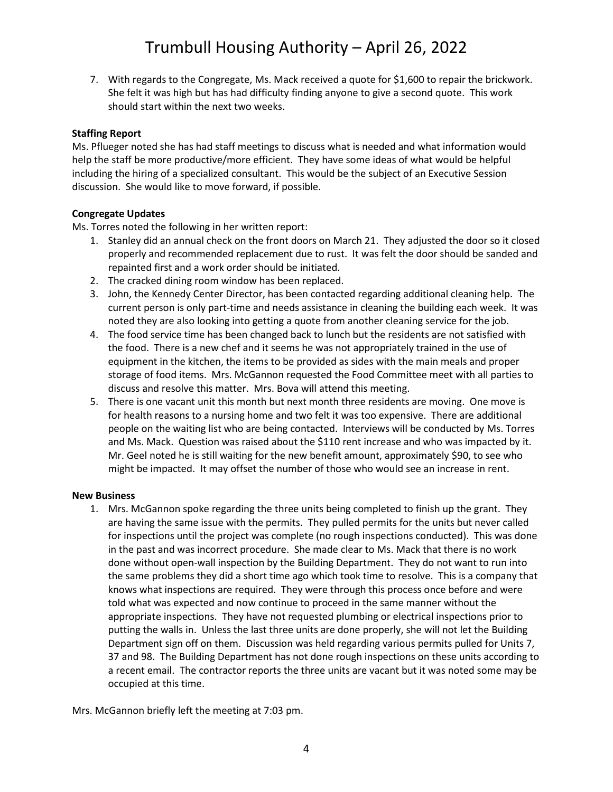7. With regards to the Congregate, Ms. Mack received a quote for \$1,600 to repair the brickwork. She felt it was high but has had difficulty finding anyone to give a second quote. This work should start within the next two weeks.

### **Staffing Report**

Ms. Pflueger noted she has had staff meetings to discuss what is needed and what information would help the staff be more productive/more efficient. They have some ideas of what would be helpful including the hiring of a specialized consultant. This would be the subject of an Executive Session discussion. She would like to move forward, if possible.

### **Congregate Updates**

Ms. Torres noted the following in her written report:

- 1. Stanley did an annual check on the front doors on March 21. They adjusted the door so it closed properly and recommended replacement due to rust. It was felt the door should be sanded and repainted first and a work order should be initiated.
- 2. The cracked dining room window has been replaced.
- 3. John, the Kennedy Center Director, has been contacted regarding additional cleaning help. The current person is only part-time and needs assistance in cleaning the building each week. It was noted they are also looking into getting a quote from another cleaning service for the job.
- 4. The food service time has been changed back to lunch but the residents are not satisfied with the food. There is a new chef and it seems he was not appropriately trained in the use of equipment in the kitchen, the items to be provided as sides with the main meals and proper storage of food items. Mrs. McGannon requested the Food Committee meet with all parties to discuss and resolve this matter. Mrs. Bova will attend this meeting.
- 5. There is one vacant unit this month but next month three residents are moving. One move is for health reasons to a nursing home and two felt it was too expensive. There are additional people on the waiting list who are being contacted. Interviews will be conducted by Ms. Torres and Ms. Mack. Question was raised about the \$110 rent increase and who was impacted by it. Mr. Geel noted he is still waiting for the new benefit amount, approximately \$90, to see who might be impacted. It may offset the number of those who would see an increase in rent.

#### **New Business**

1. Mrs. McGannon spoke regarding the three units being completed to finish up the grant. They are having the same issue with the permits. They pulled permits for the units but never called for inspections until the project was complete (no rough inspections conducted). This was done in the past and was incorrect procedure. She made clear to Ms. Mack that there is no work done without open-wall inspection by the Building Department. They do not want to run into the same problems they did a short time ago which took time to resolve. This is a company that knows what inspections are required. They were through this process once before and were told what was expected and now continue to proceed in the same manner without the appropriate inspections. They have not requested plumbing or electrical inspections prior to putting the walls in. Unless the last three units are done properly, she will not let the Building Department sign off on them. Discussion was held regarding various permits pulled for Units 7, 37 and 98. The Building Department has not done rough inspections on these units according to a recent email. The contractor reports the three units are vacant but it was noted some may be occupied at this time.

Mrs. McGannon briefly left the meeting at 7:03 pm.